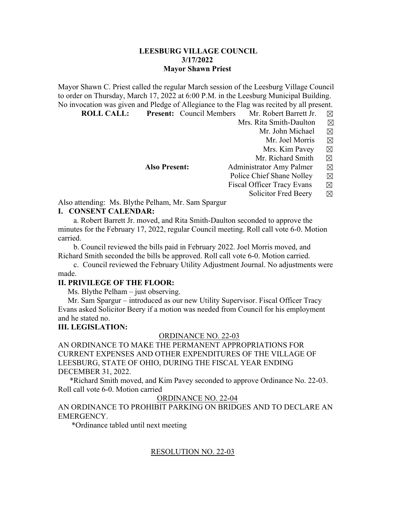### **LEESBURG VILLAGE COUNCIL 3/17/2022 Mayor Shawn Priest**

Mayor Shawn C. Priest called the regular March session of the Leesburg Village Council to order on Thursday, March 17, 2022 at 6:00 P.M. in the Leesburg Municipal Building. No invocation was given and Pledge of Allegiance to the Flag was recited by all present.

 **ROLL CALL:** Present: Council Members Mr. Robert Barrett Jr.  $\boxtimes$  Mrs. Rita Smith-Daulton  $\boxtimes$ 

- - Mr. John Michael  $\boxtimes$ 
		- Mr. Joel Morris  $\boxtimes$
		- Mrs. Kim Pavey  $\boxtimes$
	- Mr. Richard Smith  $\boxtimes$
- **Also Present:** Administrator Amy Palmer ⊠
	- Police Chief Shane Nolley  $\boxtimes$
	- Fiscal Officer Tracy Evans  $\boxtimes$ 
		- Solicitor Fred Beery  $\boxtimes$

Also attending: Ms. Blythe Pelham, Mr. Sam Spargur **I. CONSENT CALENDAR:**

 a. Robert Barrett Jr. moved, and Rita Smith-Daulton seconded to approve the minutes for the February 17, 2022, regular Council meeting. Roll call vote 6-0. Motion carried.

 b. Council reviewed the bills paid in February 2022. Joel Morris moved, and Richard Smith seconded the bills be approved. Roll call vote 6-0. Motion carried.

 c. Council reviewed the February Utility Adjustment Journal. No adjustments were made.

## **II. PRIVILEGE OF THE FLOOR:**

Ms. Blythe Pelham – just observing.

 Mr. Sam Spargur – introduced as our new Utility Supervisor. Fiscal Officer Tracy Evans asked Solicitor Beery if a motion was needed from Council for his employment and he stated no.

## **III. LEGISLATION:**

### ORDINANCE NO. 22-03

AN ORDINANCE TO MAKE THE PERMANENT APPROPRIATIONS FOR CURRENT EXPENSES AND OTHER EXPENDITURES OF THE VILLAGE OF LEESBURG, STATE OF OHIO, DURING THE FISCAL YEAR ENDING DECEMBER 31, 2022.

 \*Richard Smith moved, and Kim Pavey seconded to approve Ordinance No. 22-03. Roll call vote 6-0. Motion carried

## ORDINANCE NO. 22-04

AN ORDINANCE TO PROHIBIT PARKING ON BRIDGES AND TO DECLARE AN EMERGENCY.

\*Ordinance tabled until next meeting

## RESOLUTION NO. 22-03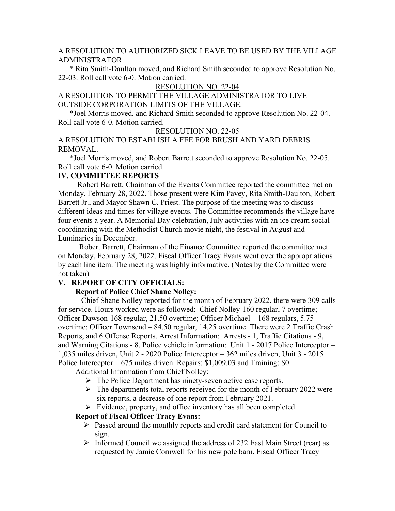A RESOLUTION TO AUTHORIZED SICK LEAVE TO BE USED BY THE VILLAGE ADMINISTRATOR.

 \* Rita Smith-Daulton moved, and Richard Smith seconded to approve Resolution No. 22-03. Roll call vote 6-0. Motion carried.

#### RESOLUTION NO. 22-04

A RESOLUTION TO PERMIT THE VILLAGE ADMINISTRATOR TO LIVE OUTSIDE CORPORATION LIMITS OF THE VILLAGE.

 \*Joel Morris moved, and Richard Smith seconded to approve Resolution No. 22-04. Roll call vote 6-0. Motion carried.

#### RESOLUTION NO. 22-05

A RESOLUTION TO ESTABLISH A FEE FOR BRUSH AND YARD DEBRIS REMOVAL.

 \*Joel Morris moved, and Robert Barrett seconded to approve Resolution No. 22-05. Roll call vote 6-0. Motion carried.

#### **IV. COMMITTEE REPORTS**

 Robert Barrett, Chairman of the Events Committee reported the committee met on Monday, February 28, 2022. Those present were Kim Pavey, Rita Smith-Daulton, Robert Barrett Jr., and Mayor Shawn C. Priest. The purpose of the meeting was to discuss different ideas and times for village events. The Committee recommends the village have four events a year. A Memorial Day celebration, July activities with an ice cream social coordinating with the Methodist Church movie night, the festival in August and Luminaries in December.

 Robert Barrett, Chairman of the Finance Committee reported the committee met on Monday, February 28, 2022. Fiscal Officer Tracy Evans went over the appropriations by each line item. The meeting was highly informative. (Notes by the Committee were not taken)

### **V. REPORT OF CITY OFFICIALS:**

#### **Report of Police Chief Shane Nolley:**

 Chief Shane Nolley reported for the month of February 2022, there were 309 calls for service. Hours worked were as followed: Chief Nolley-160 regular, 7 overtime; Officer Dawson-168 regular, 21.50 overtime; Officer Michael – 168 regulars, 5.75 overtime; Officer Townsend – 84.50 regular, 14.25 overtime. There were 2 Traffic Crash Reports, and 6 Offense Reports. Arrest Information: Arrests - 1, Traffic Citations - 9, and Warning Citations - 8. Police vehicle information: Unit 1 - 2017 Police Interceptor – 1,035 miles driven, Unit 2 - 2020 Police Interceptor – 362 miles driven, Unit 3 - 2015 Police Interceptor – 675 miles driven. Repairs: \$1,009.03 and Training: \$0.

Additional Information from Chief Nolley:

- $\triangleright$  The Police Department has ninety-seven active case reports.
- $\triangleright$  The departments total reports received for the month of February 2022 were six reports, a decrease of one report from February 2021.
- $\triangleright$  Evidence, property, and office inventory has all been completed.

### **Report of Fiscal Officer Tracy Evans:**

- Passed around the monthly reports and credit card statement for Council to sign.
- $\triangleright$  Informed Council we assigned the address of 232 East Main Street (rear) as requested by Jamie Cornwell for his new pole barn. Fiscal Officer Tracy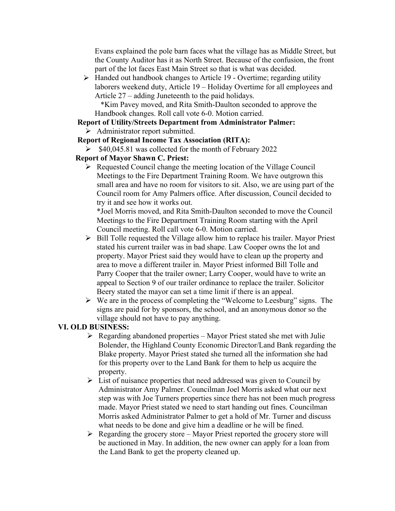Evans explained the pole barn faces what the village has as Middle Street, but the County Auditor has it as North Street. Because of the confusion, the front part of the lot faces East Main Street so that is what was decided.

 $\triangleright$  Handed out handbook changes to Article 19 - Overtime; regarding utility laborers weekend duty, Article 19 – Holiday Overtime for all employees and Article 27 – adding Juneteenth to the paid holidays.

 \*Kim Pavey moved, and Rita Smith-Daulton seconded to approve the Handbook changes. Roll call vote 6-0. Motion carried.

# **Report of Utility/Streets Department from Administrator Palmer:**

 $\triangleright$  Administrator report submitted.

# **Report of Regional Income Tax Association (RITA):**

 $\blacktriangleright$  \$40,045.81 was collected for the month of February 2022

# **Report of Mayor Shawn C. Priest:**

 $\triangleright$  Requested Council change the meeting location of the Village Council Meetings to the Fire Department Training Room. We have outgrown this small area and have no room for visitors to sit. Also, we are using part of the Council room for Amy Palmers office. After discussion, Council decided to try it and see how it works out.

\*Joel Morris moved, and Rita Smith-Daulton seconded to move the Council Meetings to the Fire Department Training Room starting with the April Council meeting. Roll call vote 6-0. Motion carried.

- $\triangleright$  Bill Tolle requested the Village allow him to replace his trailer. Mayor Priest stated his current trailer was in bad shape. Law Cooper owns the lot and property. Mayor Priest said they would have to clean up the property and area to move a different trailer in. Mayor Priest informed Bill Tolle and Parry Cooper that the trailer owner; Larry Cooper, would have to write an appeal to Section 9 of our trailer ordinance to replace the trailer. Solicitor Beery stated the mayor can set a time limit if there is an appeal.
- $\triangleright$  We are in the process of completing the "Welcome to Leesburg" signs. The signs are paid for by sponsors, the school, and an anonymous donor so the village should not have to pay anything.

# **VI. OLD BUSINESS:**

- $\triangleright$  Regarding abandoned properties Mayor Priest stated she met with Julie Bolender, the Highland County Economic Director/Land Bank regarding the Blake property. Mayor Priest stated she turned all the information she had for this property over to the Land Bank for them to help us acquire the property.
- $\triangleright$  List of nuisance properties that need addressed was given to Council by Administrator Amy Palmer. Councilman Joel Morris asked what our next step was with Joe Turners properties since there has not been much progress made. Mayor Priest stated we need to start handing out fines. Councilman Morris asked Administrator Palmer to get a hold of Mr. Turner and discuss what needs to be done and give him a deadline or he will be fined.
- $\triangleright$  Regarding the grocery store Mayor Priest reported the grocery store will be auctioned in May. In addition, the new owner can apply for a loan from the Land Bank to get the property cleaned up.